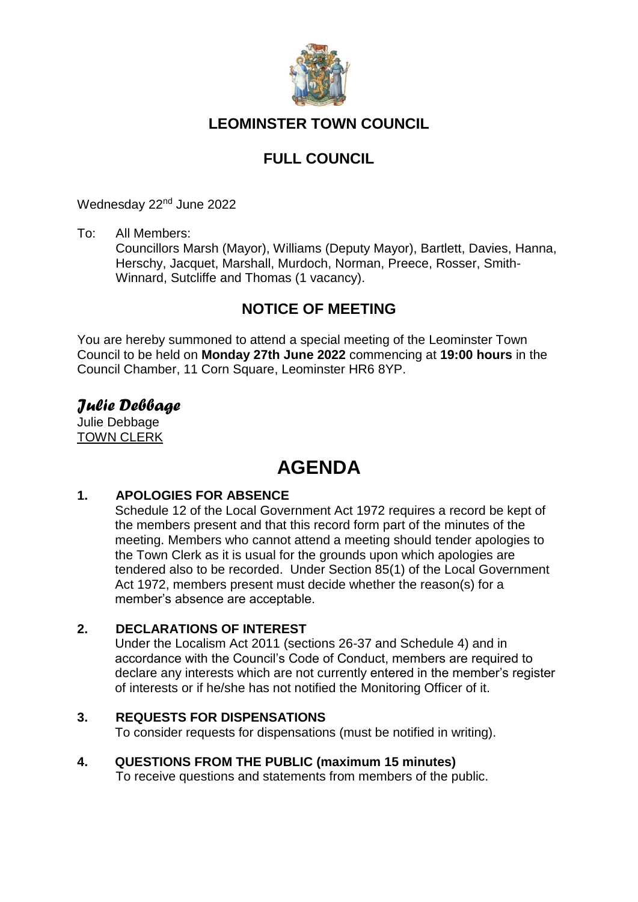

# **LEOMINSTER TOWN COUNCIL**

# **FULL COUNCIL**

Wednesday 22<sup>nd</sup> June 2022

To: All Members:

Councillors Marsh (Mayor), Williams (Deputy Mayor), Bartlett, Davies, Hanna, Herschy, Jacquet, Marshall, Murdoch, Norman, Preece, Rosser, Smith-Winnard, Sutcliffe and Thomas (1 vacancy).

# **NOTICE OF MEETING**

You are hereby summoned to attend a special meeting of the Leominster Town Council to be held on **Monday 27th June 2022** commencing at **19:00 hours** in the Council Chamber, 11 Corn Square, Leominster HR6 8YP.

# *Julie Debbage*

Julie Debbage TOWN CLERK

# **AGENDA**

# **1. APOLOGIES FOR ABSENCE**

Schedule 12 of the Local Government Act 1972 requires a record be kept of the members present and that this record form part of the minutes of the meeting. Members who cannot attend a meeting should tender apologies to the Town Clerk as it is usual for the grounds upon which apologies are tendered also to be recorded. Under Section 85(1) of the Local Government Act 1972, members present must decide whether the reason(s) for a member's absence are acceptable.

# **2. DECLARATIONS OF INTEREST**

Under the Localism Act 2011 (sections 26-37 and Schedule 4) and in accordance with the Council's Code of Conduct, members are required to declare any interests which are not currently entered in the member's register of interests or if he/she has not notified the Monitoring Officer of it.

# **3. REQUESTS FOR DISPENSATIONS**

To consider requests for dispensations (must be notified in writing).

# **4. QUESTIONS FROM THE PUBLIC (maximum 15 minutes)**

To receive questions and statements from members of the public.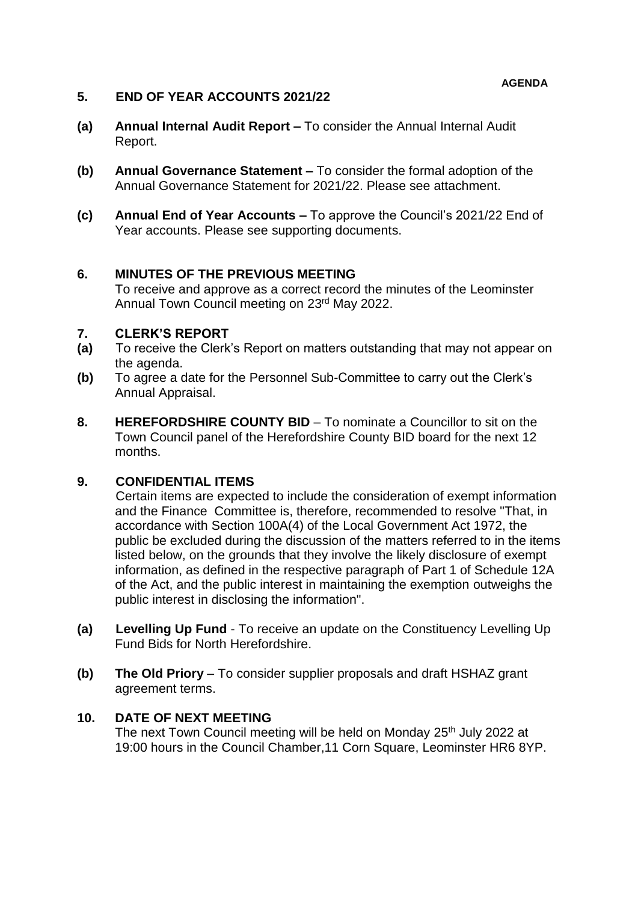# **5. END OF YEAR ACCOUNTS 2021/22**

- **(a) Annual Internal Audit Report –** To consider the Annual Internal Audit Report.
- **(b) Annual Governance Statement –** To consider the formal adoption of the Annual Governance Statement for 2021/22. Please see attachment.
- **(c) Annual End of Year Accounts –** To approve the Council's 2021/22 End of Year accounts. Please see supporting documents.

# **6. MINUTES OF THE PREVIOUS MEETING**

To receive and approve as a correct record the minutes of the Leominster Annual Town Council meeting on 23rd May 2022.

# **7. CLERK'S REPORT**

- **(a)** To receive the Clerk's Report on matters outstanding that may not appear on the agenda.
- **(b)** To agree a date for the Personnel Sub-Committee to carry out the Clerk's Annual Appraisal.
- **8. HEREFORDSHIRE COUNTY BID** To nominate a Councillor to sit on the Town Council panel of the Herefordshire County BID board for the next 12 months.

# **9. CONFIDENTIAL ITEMS**

Certain items are expected to include the consideration of exempt information and the Finance Committee is, therefore, recommended to resolve "That, in accordance with Section 100A(4) of the Local Government Act 1972, the public be excluded during the discussion of the matters referred to in the items listed below, on the grounds that they involve the likely disclosure of exempt information, as defined in the respective paragraph of Part 1 of Schedule 12A of the Act, and the public interest in maintaining the exemption outweighs the public interest in disclosing the information".

- **(a) Levelling Up Fund**  To receive an update on the Constituency Levelling Up Fund Bids for North Herefordshire.
- **(b) The Old Priory**  To consider supplier proposals and draft HSHAZ grant agreement terms.

# **10. DATE OF NEXT MEETING**

The next Town Council meeting will be held on Monday 25<sup>th</sup> July 2022 at 19:00 hours in the Council Chamber,11 Corn Square, Leominster HR6 8YP.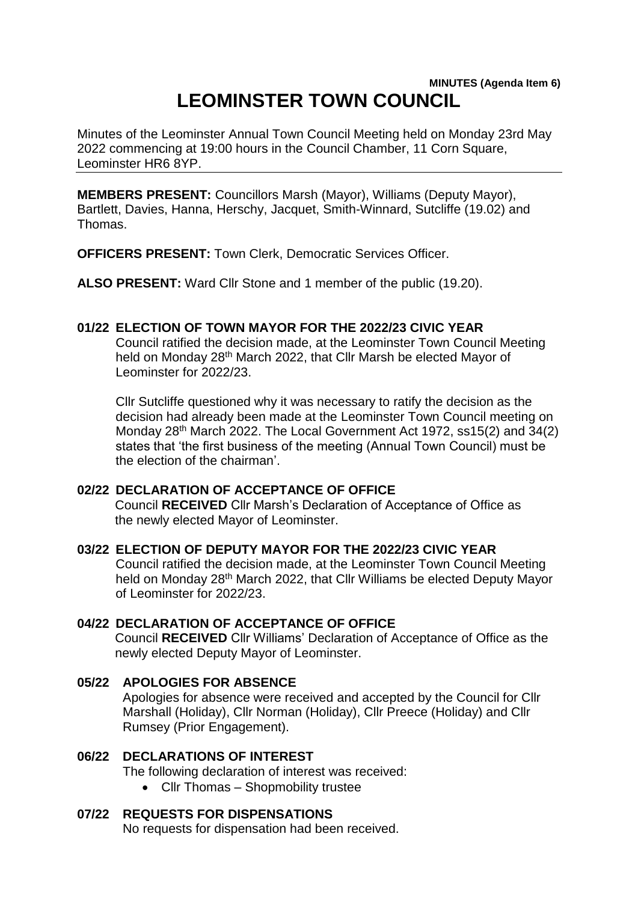# **MINUTES (Agenda Item 6) LEOMINSTER TOWN COUNCIL**

Minutes of the Leominster Annual Town Council Meeting held on Monday 23rd May 2022 commencing at 19:00 hours in the Council Chamber, 11 Corn Square, Leominster HR6 8YP.

**MEMBERS PRESENT:** Councillors Marsh (Mayor), Williams (Deputy Mayor), Bartlett, Davies, Hanna, Herschy, Jacquet, Smith-Winnard, Sutcliffe (19.02) and Thomas.

**OFFICERS PRESENT:** Town Clerk, Democratic Services Officer.

**ALSO PRESENT:** Ward Cllr Stone and 1 member of the public (19.20).

#### **01/22 ELECTION OF TOWN MAYOR FOR THE 2022/23 CIVIC YEAR**

Council ratified the decision made, at the Leominster Town Council Meeting held on Monday 28<sup>th</sup> March 2022, that Cllr Marsh be elected Mayor of Leominster for 2022/23.

Cllr Sutcliffe questioned why it was necessary to ratify the decision as the decision had already been made at the Leominster Town Council meeting on Monday 28th March 2022. The Local Government Act 1972, ss15(2) and 34(2) states that 'the first business of the meeting (Annual Town Council) must be the election of the chairman'.

# **02/22 DECLARATION OF ACCEPTANCE OF OFFICE**

Council **RECEIVED** Cllr Marsh's Declaration of Acceptance of Office as the newly elected Mayor of Leominster.

# **03/22 ELECTION OF DEPUTY MAYOR FOR THE 2022/23 CIVIC YEAR**

Council ratified the decision made, at the Leominster Town Council Meeting held on Monday 28<sup>th</sup> March 2022, that Cllr Williams be elected Deputy Mayor of Leominster for 2022/23.

#### **04/22 DECLARATION OF ACCEPTANCE OF OFFICE**

Council **RECEIVED** Cllr Williams' Declaration of Acceptance of Office as the newly elected Deputy Mayor of Leominster.

# **05/22 APOLOGIES FOR ABSENCE**

Apologies for absence were received and accepted by the Council for Cllr Marshall (Holiday), Cllr Norman (Holiday), Cllr Preece (Holiday) and Cllr Rumsey (Prior Engagement).

# **06/22 DECLARATIONS OF INTEREST**

The following declaration of interest was received:

• Cllr Thomas - Shopmobility trustee

#### **07/22 REQUESTS FOR DISPENSATIONS**

No requests for dispensation had been received.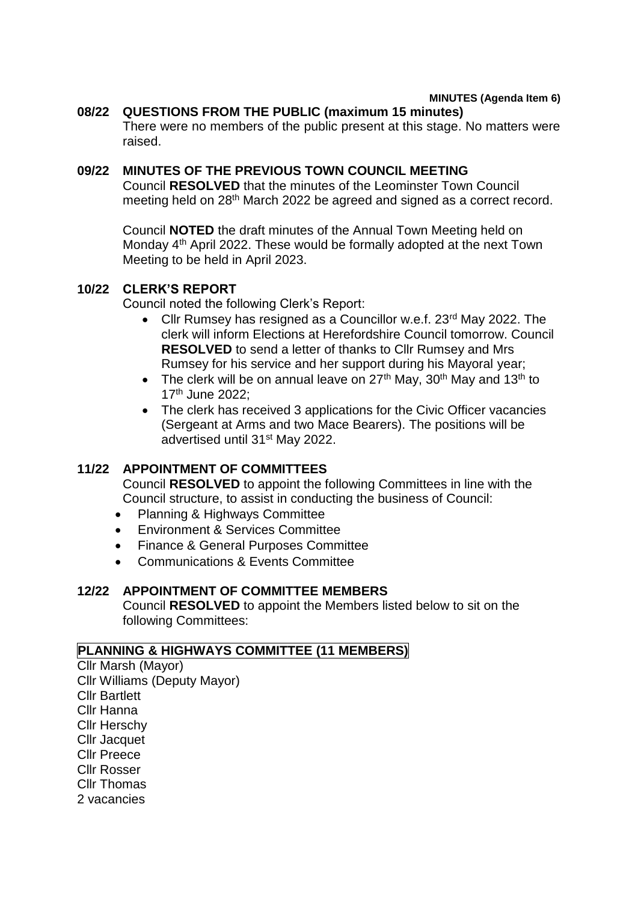#### **08/22 QUESTIONS FROM THE PUBLIC (maximum 15 minutes)** There were no members of the public present at this stage. No matters were raised.

#### **09/22 MINUTES OF THE PREVIOUS TOWN COUNCIL MEETING**

Council **RESOLVED** that the minutes of the Leominster Town Council meeting held on 28<sup>th</sup> March 2022 be agreed and signed as a correct record.

Council **NOTED** the draft minutes of the Annual Town Meeting held on Monday 4th April 2022. These would be formally adopted at the next Town Meeting to be held in April 2023.

#### **10/22 CLERK'S REPORT**

Council noted the following Clerk's Report:

- Cllr Rumsey has resigned as a Councillor w.e.f. 23<sup>rd</sup> May 2022. The clerk will inform Elections at Herefordshire Council tomorrow. Council **RESOLVED** to send a letter of thanks to Cllr Rumsey and Mrs Rumsey for his service and her support during his Mayoral year;
- The clerk will be on annual leave on  $27<sup>th</sup>$  May,  $30<sup>th</sup>$  May and  $13<sup>th</sup>$  to 17th June 2022;
- The clerk has received 3 applications for the Civic Officer vacancies (Sergeant at Arms and two Mace Bearers). The positions will be advertised until 31st May 2022.

# **11/22 APPOINTMENT OF COMMITTEES**

Council **RESOLVED** to appoint the following Committees in line with the Council structure, to assist in conducting the business of Council:

- Planning & Highways Committee
- **Environment & Services Committee**
- Finance & General Purposes Committee
- Communications & Events Committee

# **12/22 APPOINTMENT OF COMMITTEE MEMBERS**

Council **RESOLVED** to appoint the Members listed below to sit on the following Committees:

#### **PLANNING & HIGHWAYS COMMITTEE (11 MEMBERS)**

Cllr Marsh (Mayor) Cllr Williams (Deputy Mayor) Cllr Bartlett Cllr Hanna Cllr Herschy Cllr Jacquet Cllr Preece Cllr Rosser Cllr Thomas 2 vacancies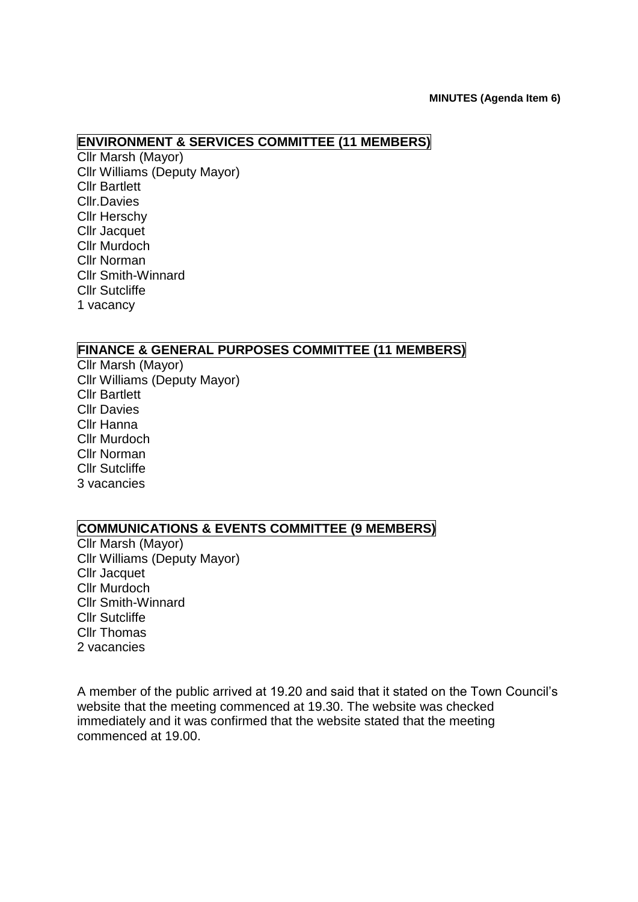# **ENVIRONMENT & SERVICES COMMITTEE (11 MEMBERS)**

Cllr Marsh (Mayor) Cllr Williams (Deputy Mayor) Cllr Bartlett Cllr.Davies Cllr Herschy Cllr Jacquet Cllr Murdoch Cllr Norman Cllr Smith-Winnard Cllr Sutcliffe 1 vacancy

# **FINANCE & GENERAL PURPOSES COMMITTEE (11 MEMBERS)**

Cllr Marsh (Mayor) Cllr Williams (Deputy Mayor) Cllr Bartlett Cllr Davies Cllr Hanna Cllr Murdoch Cllr Norman Cllr Sutcliffe 3 vacancies

# **COMMUNICATIONS & EVENTS COMMITTEE (9 MEMBERS)**

Cllr Marsh (Mayor) Cllr Williams (Deputy Mayor) Cllr Jacquet Cllr Murdoch Cllr Smith-Winnard Cllr Sutcliffe Cllr Thomas 2 vacancies

A member of the public arrived at 19.20 and said that it stated on the Town Council's website that the meeting commenced at 19.30. The website was checked immediately and it was confirmed that the website stated that the meeting commenced at 19.00.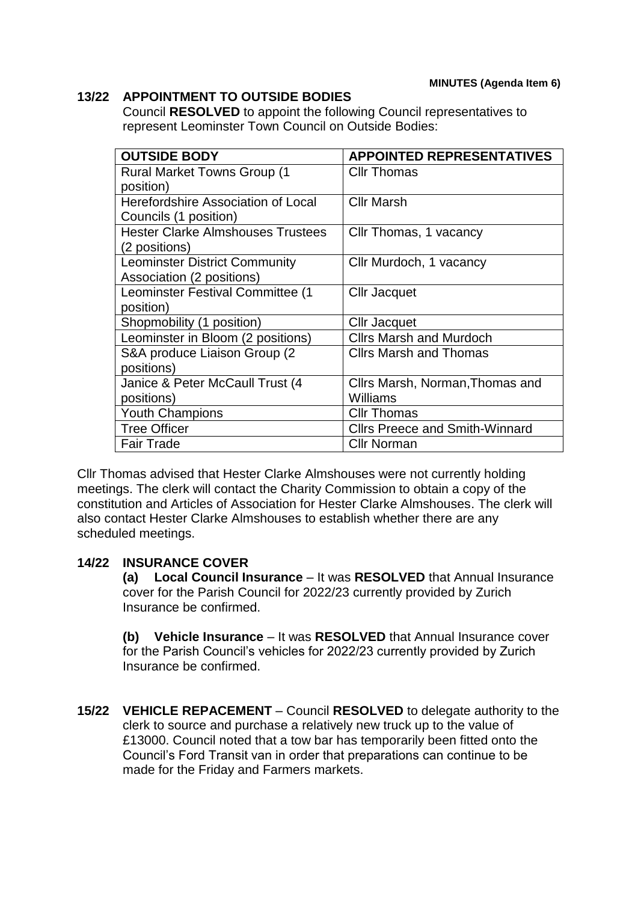# **13/22 APPOINTMENT TO OUTSIDE BODIES**

Council **RESOLVED** to appoint the following Council representatives to represent Leominster Town Council on Outside Bodies:

| <b>OUTSIDE BODY</b>                      | <b>APPOINTED REPRESENTATIVES</b>      |
|------------------------------------------|---------------------------------------|
| <b>Rural Market Towns Group (1)</b>      | <b>Cllr Thomas</b>                    |
| position)                                |                                       |
| Herefordshire Association of Local       | <b>Cllr Marsh</b>                     |
| Councils (1 position)                    |                                       |
| <b>Hester Clarke Almshouses Trustees</b> | Cllr Thomas, 1 vacancy                |
| (2 positions)                            |                                       |
| <b>Leominster District Community</b>     | Cllr Murdoch, 1 vacancy               |
| Association (2 positions)                |                                       |
| Leominster Festival Committee (1         | Cllr Jacquet                          |
| position)                                |                                       |
| Shopmobility (1 position)                | Cllr Jacquet                          |
| Leominster in Bloom (2 positions)        | <b>Clirs Marsh and Murdoch</b>        |
| S&A produce Liaison Group (2             | <b>Clirs Marsh and Thomas</b>         |
| positions)                               |                                       |
| Janice & Peter McCaull Trust (4          | Cllrs Marsh, Norman, Thomas and       |
| positions)                               | <b>Williams</b>                       |
| <b>Youth Champions</b>                   | <b>Cllr Thomas</b>                    |
| <b>Tree Officer</b>                      | <b>Clirs Preece and Smith-Winnard</b> |
| <b>Fair Trade</b>                        | <b>Cllr Norman</b>                    |

Cllr Thomas advised that Hester Clarke Almshouses were not currently holding meetings. The clerk will contact the Charity Commission to obtain a copy of the constitution and Articles of Association for Hester Clarke Almshouses. The clerk will also contact Hester Clarke Almshouses to establish whether there are any scheduled meetings.

# **14/22 INSURANCE COVER**

**(a) Local Council Insurance** – It was **RESOLVED** that Annual Insurance cover for the Parish Council for 2022/23 currently provided by Zurich Insurance be confirmed.

**(b) Vehicle Insurance** – It was **RESOLVED** that Annual Insurance cover for the Parish Council's vehicles for 2022/23 currently provided by Zurich Insurance be confirmed.

**15/22 VEHICLE REPACEMENT** – Council **RESOLVED** to delegate authority to the clerk to source and purchase a relatively new truck up to the value of £13000. Council noted that a tow bar has temporarily been fitted onto the Council's Ford Transit van in order that preparations can continue to be made for the Friday and Farmers markets.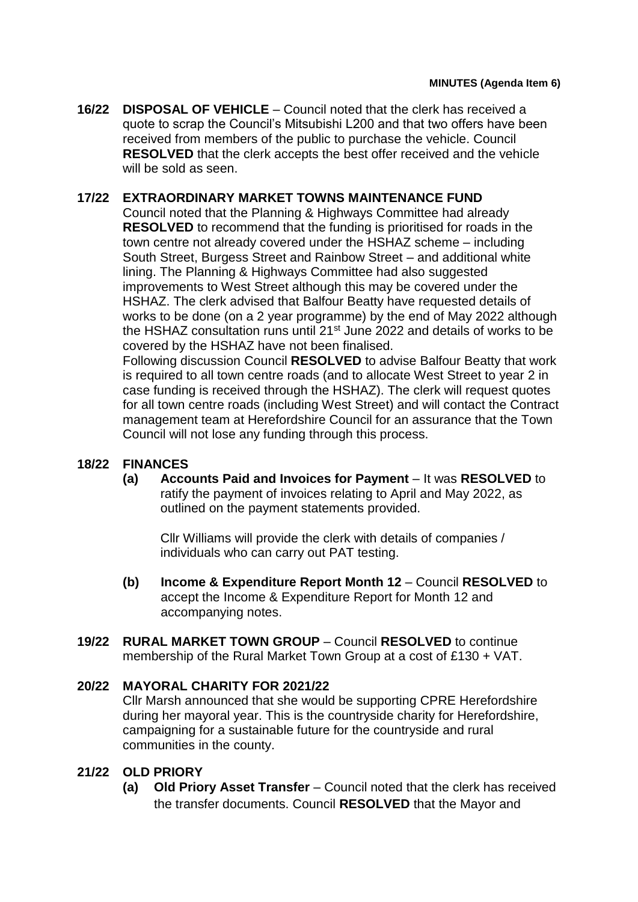**16/22 DISPOSAL OF VEHICLE** – Council noted that the clerk has received a quote to scrap the Council's Mitsubishi L200 and that two offers have been received from members of the public to purchase the vehicle. Council **RESOLVED** that the clerk accepts the best offer received and the vehicle will be sold as seen.

# **17/22 EXTRAORDINARY MARKET TOWNS MAINTENANCE FUND**

Council noted that the Planning & Highways Committee had already **RESOLVED** to recommend that the funding is prioritised for roads in the town centre not already covered under the HSHAZ scheme – including South Street, Burgess Street and Rainbow Street – and additional white lining. The Planning & Highways Committee had also suggested improvements to West Street although this may be covered under the HSHAZ. The clerk advised that Balfour Beatty have requested details of works to be done (on a 2 year programme) by the end of May 2022 although the HSHAZ consultation runs until 21<sup>st</sup> June 2022 and details of works to be covered by the HSHAZ have not been finalised.

Following discussion Council **RESOLVED** to advise Balfour Beatty that work is required to all town centre roads (and to allocate West Street to year 2 in case funding is received through the HSHAZ). The clerk will request quotes for all town centre roads (including West Street) and will contact the Contract management team at Herefordshire Council for an assurance that the Town Council will not lose any funding through this process.

# **18/22 FINANCES**

**(a) Accounts Paid and Invoices for Payment** – It was **RESOLVED** to ratify the payment of invoices relating to April and May 2022, as outlined on the payment statements provided.

Cllr Williams will provide the clerk with details of companies / individuals who can carry out PAT testing.

- **(b) Income & Expenditure Report Month 12** Council **RESOLVED** to accept the Income & Expenditure Report for Month 12 and accompanying notes.
- **19/22 RURAL MARKET TOWN GROUP**  Council **RESOLVED** to continue membership of the Rural Market Town Group at a cost of £130 + VAT.

# **20/22 MAYORAL CHARITY FOR 2021/22**

Cllr Marsh announced that she would be supporting CPRE Herefordshire during her mayoral year. This is the countryside charity for Herefordshire, campaigning for a sustainable future for the countryside and rural communities in the county.

# **21/22 OLD PRIORY**

**(a) Old Priory Asset Transfer** – Council noted that the clerk has received the transfer documents. Council **RESOLVED** that the Mayor and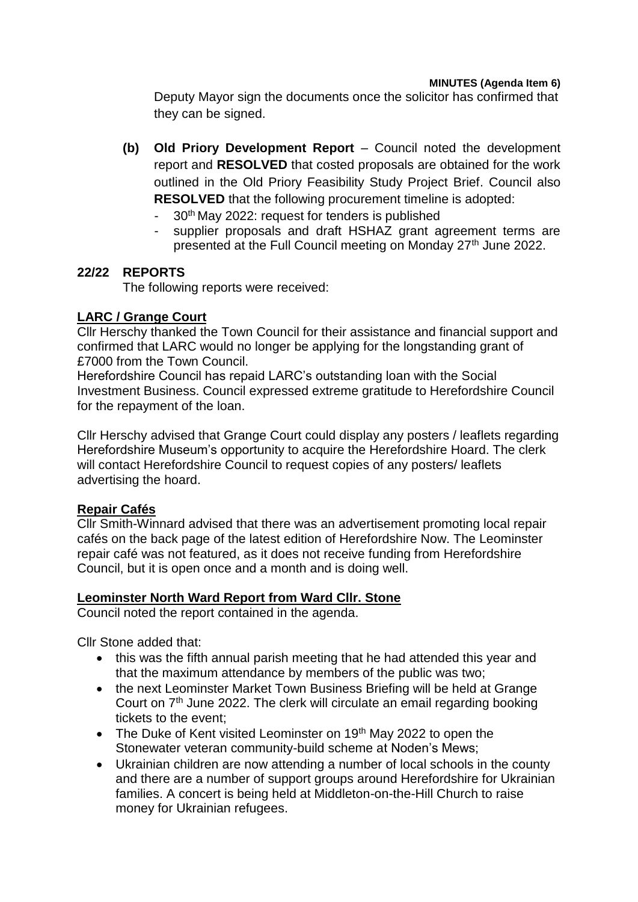Deputy Mayor sign the documents once the solicitor has confirmed that they can be signed.

- **(b) Old Priory Development Report** Council noted the development report and **RESOLVED** that costed proposals are obtained for the work outlined in the Old Priory Feasibility Study Project Brief. Council also **RESOLVED** that the following procurement timeline is adopted:
	- 30<sup>th</sup> May 2022: request for tenders is published
	- supplier proposals and draft HSHAZ grant agreement terms are presented at the Full Council meeting on Monday 27<sup>th</sup> June 2022.

# **22/22 REPORTS**

The following reports were received:

# **LARC / Grange Court**

Cllr Herschy thanked the Town Council for their assistance and financial support and confirmed that LARC would no longer be applying for the longstanding grant of £7000 from the Town Council.

Herefordshire Council has repaid LARC's outstanding loan with the Social Investment Business. Council expressed extreme gratitude to Herefordshire Council for the repayment of the loan.

Cllr Herschy advised that Grange Court could display any posters / leaflets regarding Herefordshire Museum's opportunity to acquire the Herefordshire Hoard. The clerk will contact Herefordshire Council to request copies of any posters/ leaflets advertising the hoard.

# **Repair Cafés**

Cllr Smith-Winnard advised that there was an advertisement promoting local repair cafés on the back page of the latest edition of Herefordshire Now. The Leominster repair café was not featured, as it does not receive funding from Herefordshire Council, but it is open once and a month and is doing well.

# **Leominster North Ward Report from Ward Cllr. Stone**

Council noted the report contained in the agenda.

Cllr Stone added that:

- this was the fifth annual parish meeting that he had attended this year and that the maximum attendance by members of the public was two;
- the next Leominster Market Town Business Briefing will be held at Grange Court on 7th June 2022. The clerk will circulate an email regarding booking tickets to the event;
- $\bullet$  The Duke of Kent visited Leominster on 19<sup>th</sup> May 2022 to open the Stonewater veteran community-build scheme at Noden's Mews;
- Ukrainian children are now attending a number of local schools in the county and there are a number of support groups around Herefordshire for Ukrainian families. A concert is being held at Middleton-on-the-Hill Church to raise money for Ukrainian refugees.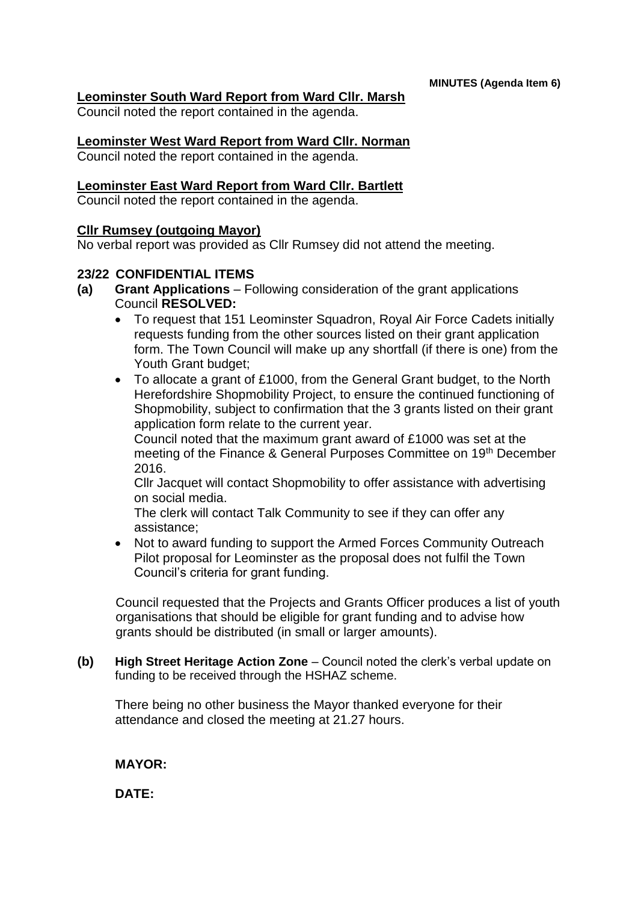# **Leominster South Ward Report from Ward Cllr. Marsh**

Council noted the report contained in the agenda.

#### **Leominster West Ward Report from Ward Cllr. Norman**

Council noted the report contained in the agenda.

#### **Leominster East Ward Report from Ward Cllr. Bartlett**

Council noted the report contained in the agenda.

# **Cllr Rumsey (outgoing Mayor)**

No verbal report was provided as Cllr Rumsey did not attend the meeting.

#### **23/22 CONFIDENTIAL ITEMS**

- **(a) Grant Applications**  Following consideration of the grant applications Council **RESOLVED:**
	- To request that 151 Leominster Squadron, Royal Air Force Cadets initially requests funding from the other sources listed on their grant application form. The Town Council will make up any shortfall (if there is one) from the Youth Grant budget;
	- To allocate a grant of £1000, from the General Grant budget, to the North Herefordshire Shopmobility Project, to ensure the continued functioning of Shopmobility, subject to confirmation that the 3 grants listed on their grant application form relate to the current year.

Council noted that the maximum grant award of £1000 was set at the meeting of the Finance & General Purposes Committee on 19th December 2016.

Cllr Jacquet will contact Shopmobility to offer assistance with advertising on social media.

The clerk will contact Talk Community to see if they can offer any assistance;

• Not to award funding to support the Armed Forces Community Outreach Pilot proposal for Leominster as the proposal does not fulfil the Town Council's criteria for grant funding.

Council requested that the Projects and Grants Officer produces a list of youth organisations that should be eligible for grant funding and to advise how grants should be distributed (in small or larger amounts).

**(b) High Street Heritage Action Zone** – Council noted the clerk's verbal update on funding to be received through the HSHAZ scheme.

There being no other business the Mayor thanked everyone for their attendance and closed the meeting at 21.27 hours.

# **MAYOR:**

**DATE:**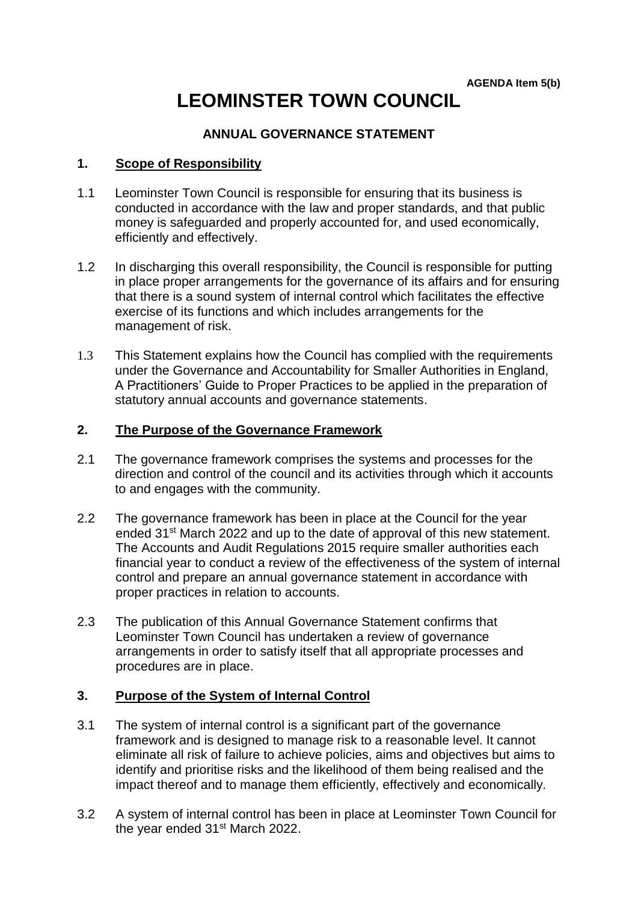# **LEOMINSTER TOWN COUNCIL**

# **ANNUAL GOVERNANCE STATEMENT**

# **1. Scope of Responsibility**

- 1.1 Leominster Town Council is responsible for ensuring that its business is conducted in accordance with the law and proper standards, and that public money is safeguarded and properly accounted for, and used economically, efficiently and effectively.
- 1.2 In discharging this overall responsibility, the Council is responsible for putting in place proper arrangements for the governance of its affairs and for ensuring that there is a sound system of internal control which facilitates the effective exercise of its functions and which includes arrangements for the management of risk.
- 1.3 This Statement explains how the Council has complied with the requirements under the Governance and Accountability for Smaller Authorities in England, A Practitioners' Guide to Proper Practices to be applied in the preparation of statutory annual accounts and governance statements.

# **2. The Purpose of the Governance Framework**

- 2.1 The governance framework comprises the systems and processes for the direction and control of the council and its activities through which it accounts to and engages with the community.
- 2.2 The governance framework has been in place at the Council for the year ended 31<sup>st</sup> March 2022 and up to the date of approval of this new statement. The Accounts and Audit Regulations 2015 require smaller authorities each financial year to conduct a review of the effectiveness of the system of internal control and prepare an annual governance statement in accordance with proper practices in relation to accounts.
- 2.3 The publication of this Annual Governance Statement confirms that Leominster Town Council has undertaken a review of governance arrangements in order to satisfy itself that all appropriate processes and procedures are in place.

#### **3. Purpose of the System of Internal Control**

- 3.1 The system of internal control is a significant part of the governance framework and is designed to manage risk to a reasonable level. It cannot eliminate all risk of failure to achieve policies, aims and objectives but aims to identify and prioritise risks and the likelihood of them being realised and the impact thereof and to manage them efficiently, effectively and economically.
- 3.2 A system of internal control has been in place at Leominster Town Council for the year ended 31<sup>st</sup> March 2022.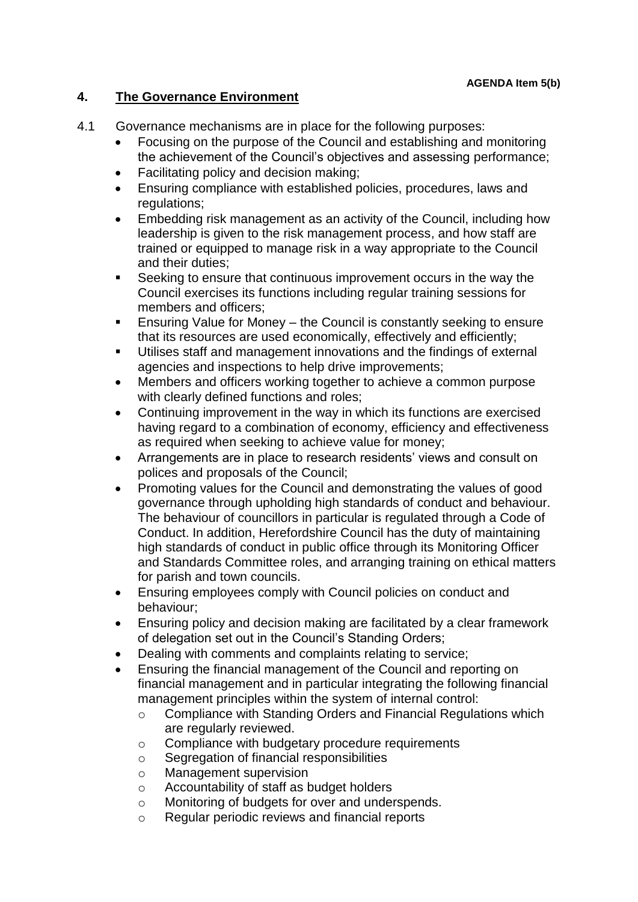# **4. The Governance Environment**

- 4.1 Governance mechanisms are in place for the following purposes:
	- Focusing on the purpose of the Council and establishing and monitoring the achievement of the Council's objectives and assessing performance;
	- Facilitating policy and decision making;
	- Ensuring compliance with established policies, procedures, laws and regulations;
	- Embedding risk management as an activity of the Council, including how leadership is given to the risk management process, and how staff are trained or equipped to manage risk in a way appropriate to the Council and their duties;
	- Seeking to ensure that continuous improvement occurs in the way the Council exercises its functions including regular training sessions for members and officers;
	- Ensuring Value for Money the Council is constantly seeking to ensure that its resources are used economically, effectively and efficiently;
	- Utilises staff and management innovations and the findings of external agencies and inspections to help drive improvements;
	- Members and officers working together to achieve a common purpose with clearly defined functions and roles;
	- Continuing improvement in the way in which its functions are exercised having regard to a combination of economy, efficiency and effectiveness as required when seeking to achieve value for money;
	- Arrangements are in place to research residents' views and consult on polices and proposals of the Council;
	- Promoting values for the Council and demonstrating the values of good governance through upholding high standards of conduct and behaviour. The behaviour of councillors in particular is regulated through a Code of Conduct. In addition, Herefordshire Council has the duty of maintaining high standards of conduct in public office through its Monitoring Officer and Standards Committee roles, and arranging training on ethical matters for parish and town councils.
	- Ensuring employees comply with Council policies on conduct and behaviour;
	- Ensuring policy and decision making are facilitated by a clear framework of delegation set out in the Council's Standing Orders;
	- Dealing with comments and complaints relating to service;
	- Ensuring the financial management of the Council and reporting on financial management and in particular integrating the following financial management principles within the system of internal control:
		- o Compliance with Standing Orders and Financial Regulations which are regularly reviewed.
		- o Compliance with budgetary procedure requirements
		- o Segregation of financial responsibilities
		- o Management supervision
		- o Accountability of staff as budget holders
		- o Monitoring of budgets for over and underspends.
		- o Regular periodic reviews and financial reports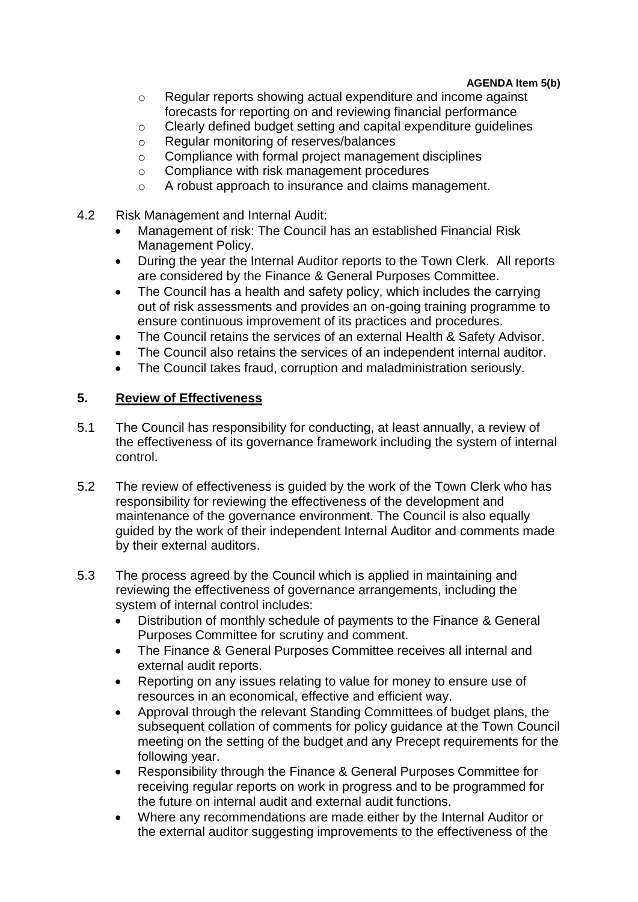#### **AGENDA Item 5(b)**

- o Regular reports showing actual expenditure and income against forecasts for reporting on and reviewing financial performance
- o Clearly defined budget setting and capital expenditure guidelines
- o Regular monitoring of reserves/balances
- o Compliance with formal project management disciplines
- o Compliance with risk management procedures
- o A robust approach to insurance and claims management.
- 4.2 Risk Management and Internal Audit:
	- Management of risk: The Council has an established Financial Risk Management Policy.
	- During the year the Internal Auditor reports to the Town Clerk. All reports are considered by the Finance & General Purposes Committee.
	- The Council has a health and safety policy, which includes the carrying out of risk assessments and provides an on-going training programme to ensure continuous improvement of its practices and procedures.
	- The Council retains the services of an external Health & Safety Advisor.
	- The Council also retains the services of an independent internal auditor.
	- The Council takes fraud, corruption and maladministration seriously.

# **5. Review of Effectiveness**

- 5.1 The Council has responsibility for conducting, at least annually, a review of the effectiveness of its governance framework including the system of internal control.
- 5.2 The review of effectiveness is guided by the work of the Town Clerk who has responsibility for reviewing the effectiveness of the development and maintenance of the governance environment. The Council is also equally guided by the work of their independent Internal Auditor and comments made by their external auditors.
- 5.3 The process agreed by the Council which is applied in maintaining and reviewing the effectiveness of governance arrangements, including the system of internal control includes:
	- Distribution of monthly schedule of payments to the Finance & General Purposes Committee for scrutiny and comment.
	- The Finance & General Purposes Committee receives all internal and external audit reports.
	- Reporting on any issues relating to value for money to ensure use of resources in an economical, effective and efficient way.
	- Approval through the relevant Standing Committees of budget plans, the subsequent collation of comments for policy guidance at the Town Council meeting on the setting of the budget and any Precept requirements for the following year.
	- Responsibility through the Finance & General Purposes Committee for receiving regular reports on work in progress and to be programmed for the future on internal audit and external audit functions.
	- Where any recommendations are made either by the Internal Auditor or the external auditor suggesting improvements to the effectiveness of the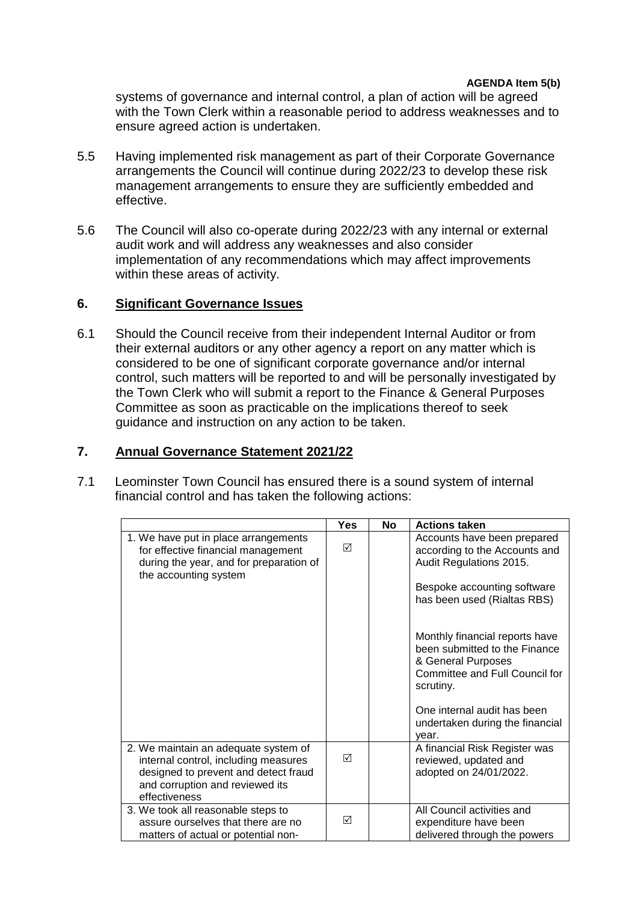systems of governance and internal control, a plan of action will be agreed with the Town Clerk within a reasonable period to address weaknesses and to ensure agreed action is undertaken.

- 5.5 Having implemented risk management as part of their Corporate Governance arrangements the Council will continue during 2022/23 to develop these risk management arrangements to ensure they are sufficiently embedded and effective.
- 5.6 The Council will also co-operate during 2022/23 with any internal or external audit work and will address any weaknesses and also consider implementation of any recommendations which may affect improvements within these areas of activity.

# **6. Significant Governance Issues**

6.1 Should the Council receive from their independent Internal Auditor or from their external auditors or any other agency a report on any matter which is considered to be one of significant corporate governance and/or internal control, such matters will be reported to and will be personally investigated by the Town Clerk who will submit a report to the Finance & General Purposes Committee as soon as practicable on the implications thereof to seek guidance and instruction on any action to be taken.

# **7. Annual Governance Statement 2021/22**

7.1 Leominster Town Council has ensured there is a sound system of internal financial control and has taken the following actions:

|                                                                                                                                                                          | <b>Yes</b> | No | <b>Actions taken</b>                                                                                                                 |
|--------------------------------------------------------------------------------------------------------------------------------------------------------------------------|------------|----|--------------------------------------------------------------------------------------------------------------------------------------|
| 1. We have put in place arrangements<br>for effective financial management<br>during the year, and for preparation of                                                    | ☑          |    | Accounts have been prepared<br>according to the Accounts and<br>Audit Regulations 2015.                                              |
| the accounting system                                                                                                                                                    |            |    | Bespoke accounting software<br>has been used (Rialtas RBS)                                                                           |
|                                                                                                                                                                          |            |    | Monthly financial reports have<br>been submitted to the Finance<br>& General Purposes<br>Committee and Full Council for<br>scrutiny. |
|                                                                                                                                                                          |            |    | One internal audit has been<br>undertaken during the financial<br>year.                                                              |
| 2. We maintain an adequate system of<br>internal control, including measures<br>designed to prevent and detect fraud<br>and corruption and reviewed its<br>effectiveness | ☑          |    | A financial Risk Register was<br>reviewed, updated and<br>adopted on 24/01/2022.                                                     |
| 3. We took all reasonable steps to<br>assure ourselves that there are no<br>matters of actual or potential non-                                                          | ☑          |    | All Council activities and<br>expenditure have been<br>delivered through the powers                                                  |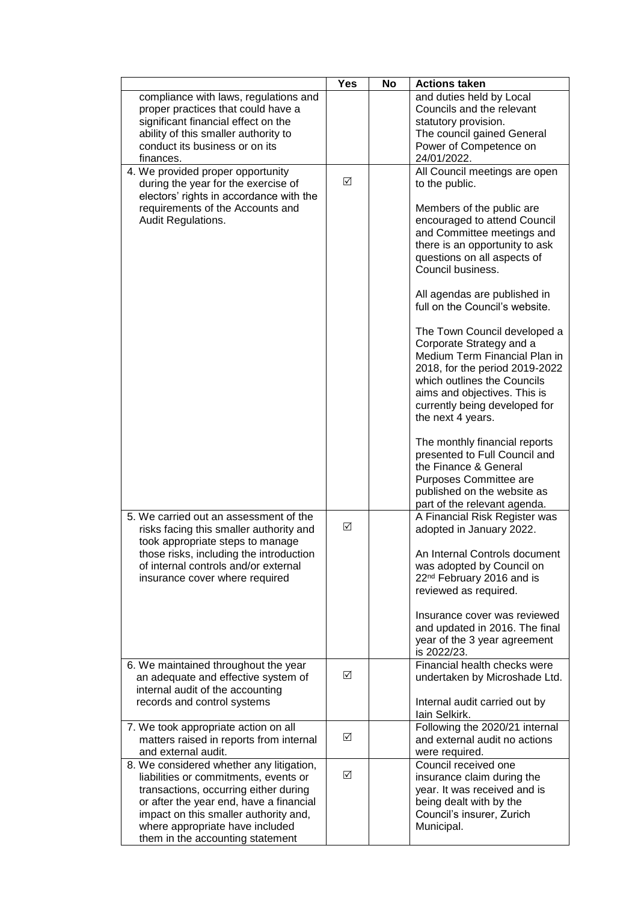|                                                                                                                                                                                                                                                                                       | <b>Yes</b> | No | <b>Actions taken</b>                                                                                                                                                                                                                                                                                                                                                                                                                                                                                                                                                  |
|---------------------------------------------------------------------------------------------------------------------------------------------------------------------------------------------------------------------------------------------------------------------------------------|------------|----|-----------------------------------------------------------------------------------------------------------------------------------------------------------------------------------------------------------------------------------------------------------------------------------------------------------------------------------------------------------------------------------------------------------------------------------------------------------------------------------------------------------------------------------------------------------------------|
| compliance with laws, regulations and<br>proper practices that could have a<br>significant financial effect on the<br>ability of this smaller authority to<br>conduct its business or on its                                                                                          |            |    | and duties held by Local<br>Councils and the relevant<br>statutory provision.<br>The council gained General<br>Power of Competence on                                                                                                                                                                                                                                                                                                                                                                                                                                 |
| finances.<br>4. We provided proper opportunity<br>during the year for the exercise of<br>electors' rights in accordance with the<br>requirements of the Accounts and<br>Audit Regulations.                                                                                            | ☑          |    | 24/01/2022.<br>All Council meetings are open<br>to the public.<br>Members of the public are<br>encouraged to attend Council<br>and Committee meetings and<br>there is an opportunity to ask<br>questions on all aspects of<br>Council business.<br>All agendas are published in<br>full on the Council's website.<br>The Town Council developed a<br>Corporate Strategy and a<br>Medium Term Financial Plan in<br>2018, for the period 2019-2022<br>which outlines the Councils<br>aims and objectives. This is<br>currently being developed for<br>the next 4 years. |
| 5. We carried out an assessment of the<br>risks facing this smaller authority and                                                                                                                                                                                                     | ☑          |    | The monthly financial reports<br>presented to Full Council and<br>the Finance & General<br>Purposes Committee are<br>published on the website as<br>part of the relevant agenda.<br>A Financial Risk Register was<br>adopted in January 2022.                                                                                                                                                                                                                                                                                                                         |
| took appropriate steps to manage<br>those risks, including the introduction<br>of internal controls and/or external<br>insurance cover where required                                                                                                                                 |            |    | An Internal Controls document<br>was adopted by Council on<br>22 <sup>nd</sup> February 2016 and is<br>reviewed as required.<br>Insurance cover was reviewed<br>and updated in 2016. The final<br>year of the 3 year agreement<br>is 2022/23.                                                                                                                                                                                                                                                                                                                         |
| 6. We maintained throughout the year<br>an adequate and effective system of<br>internal audit of the accounting<br>records and control systems                                                                                                                                        | ☑          |    | Financial health checks were<br>undertaken by Microshade Ltd.<br>Internal audit carried out by<br>lain Selkirk.                                                                                                                                                                                                                                                                                                                                                                                                                                                       |
| 7. We took appropriate action on all<br>matters raised in reports from internal<br>and external audit.                                                                                                                                                                                | ☑          |    | Following the 2020/21 internal<br>and external audit no actions<br>were required.                                                                                                                                                                                                                                                                                                                                                                                                                                                                                     |
| 8. We considered whether any litigation,<br>liabilities or commitments, events or<br>transactions, occurring either during<br>or after the year end, have a financial<br>impact on this smaller authority and,<br>where appropriate have included<br>them in the accounting statement | ☑          |    | Council received one<br>insurance claim during the<br>year. It was received and is<br>being dealt with by the<br>Council's insurer, Zurich<br>Municipal.                                                                                                                                                                                                                                                                                                                                                                                                              |